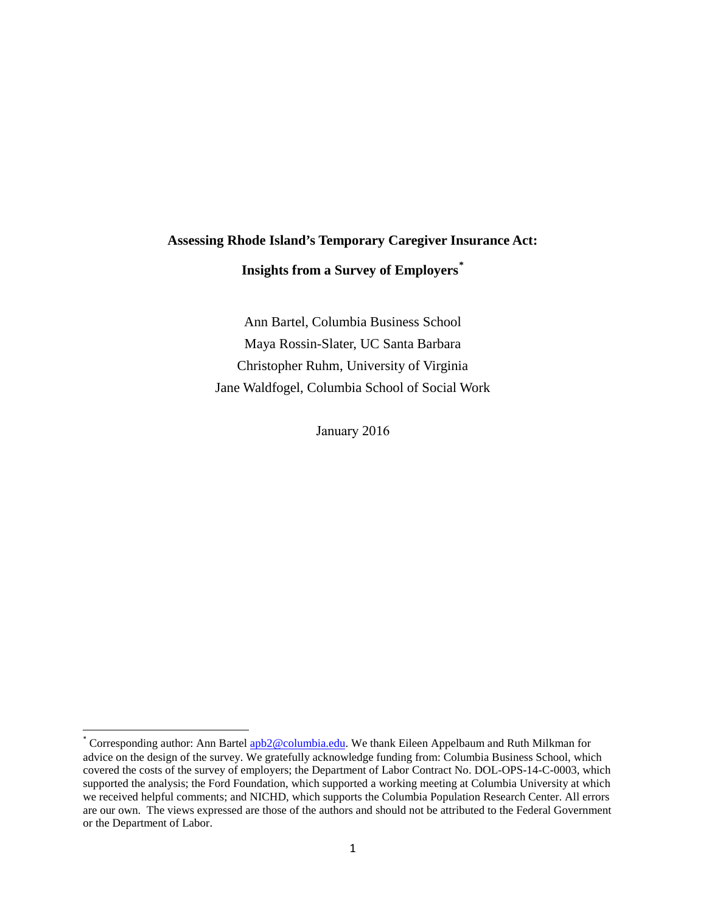# **Assessing Rhode Island's Temporary Caregiver Insurance Act: Insights from a Survey of Employers[\\*](#page-0-0)**

Ann Bartel, Columbia Business School Maya Rossin-Slater, UC Santa Barbara Christopher Ruhm, University of Virginia Jane Waldfogel, Columbia School of Social Work

January 2016

<span id="page-0-0"></span><sup>\*</sup> Corresponding author: Ann Bartel **apb2@columbia.edu**. We thank Eileen Appelbaum and Ruth Milkman for advice on the design of the survey. We gratefully acknowledge funding from: Columbia Business School, which covered the costs of the survey of employers; the Department of Labor Contract No. DOL-OPS-14-C-0003, which supported the analysis; the Ford Foundation, which supported a working meeting at Columbia University at which we received helpful comments; and NICHD, which supports the Columbia Population Research Center. All errors are our own. The views expressed are those of the authors and should not be attributed to the Federal Government or the Department of Labor.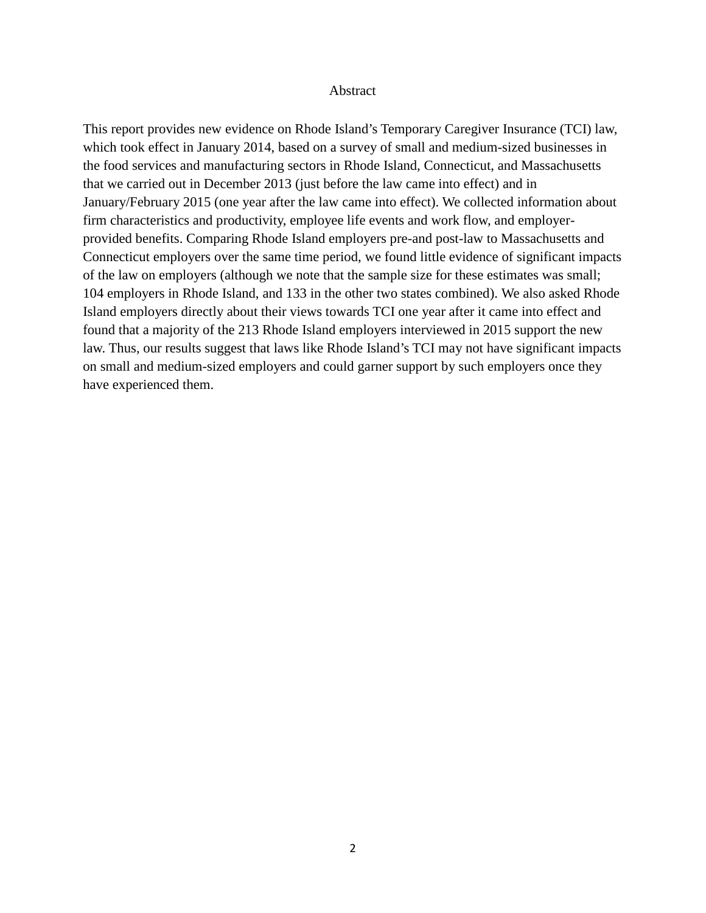#### Abstract

This report provides new evidence on Rhode Island's Temporary Caregiver Insurance (TCI) law, which took effect in January 2014, based on a survey of small and medium-sized businesses in the food services and manufacturing sectors in Rhode Island, Connecticut, and Massachusetts that we carried out in December 2013 (just before the law came into effect) and in January/February 2015 (one year after the law came into effect). We collected information about firm characteristics and productivity, employee life events and work flow, and employerprovided benefits. Comparing Rhode Island employers pre-and post-law to Massachusetts and Connecticut employers over the same time period, we found little evidence of significant impacts of the law on employers (although we note that the sample size for these estimates was small; 104 employers in Rhode Island, and 133 in the other two states combined). We also asked Rhode Island employers directly about their views towards TCI one year after it came into effect and found that a majority of the 213 Rhode Island employers interviewed in 2015 support the new law. Thus, our results suggest that laws like Rhode Island's TCI may not have significant impacts on small and medium-sized employers and could garner support by such employers once they have experienced them.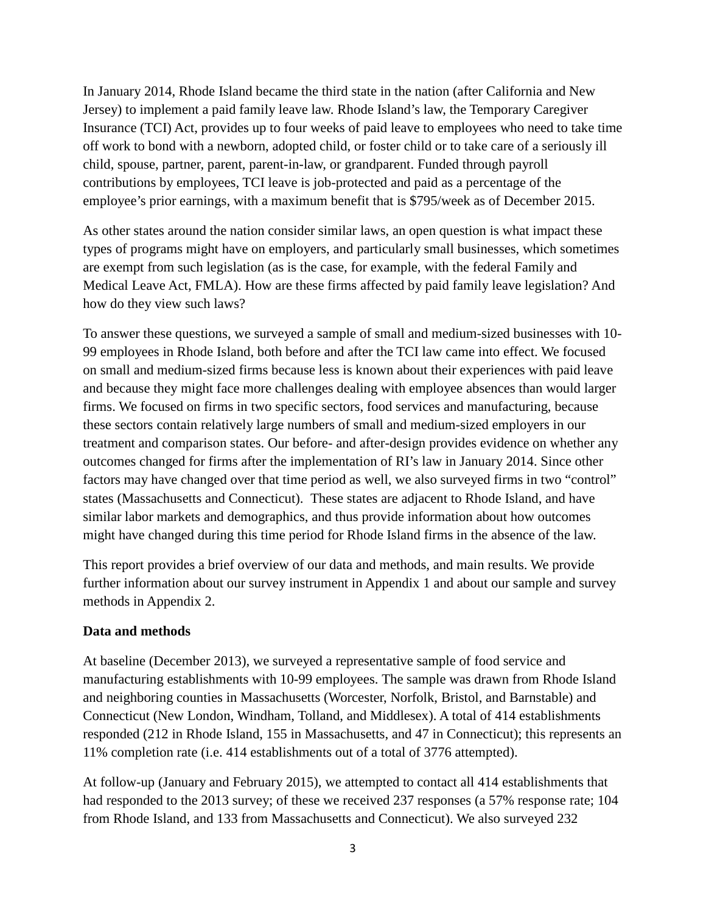In January 2014, Rhode Island became the third state in the nation (after California and New Jersey) to implement a paid family leave law. Rhode Island's law, the Temporary Caregiver Insurance (TCI) Act, provides up to four weeks of paid leave to employees who need to take time off work to bond with a newborn, adopted child, or foster child or to take care of a seriously ill child, spouse, partner, parent, parent-in-law, or grandparent. Funded through payroll contributions by employees, TCI leave is job-protected and paid as a percentage of the employee's prior earnings, with a maximum benefit that is \$795/week as of December 2015.

As other states around the nation consider similar laws, an open question is what impact these types of programs might have on employers, and particularly small businesses, which sometimes are exempt from such legislation (as is the case, for example, with the federal Family and Medical Leave Act, FMLA). How are these firms affected by paid family leave legislation? And how do they view such laws?

To answer these questions, we surveyed a sample of small and medium-sized businesses with 10- 99 employees in Rhode Island, both before and after the TCI law came into effect. We focused on small and medium-sized firms because less is known about their experiences with paid leave and because they might face more challenges dealing with employee absences than would larger firms. We focused on firms in two specific sectors, food services and manufacturing, because these sectors contain relatively large numbers of small and medium-sized employers in our treatment and comparison states. Our before- and after-design provides evidence on whether any outcomes changed for firms after the implementation of RI's law in January 2014. Since other factors may have changed over that time period as well, we also surveyed firms in two "control" states (Massachusetts and Connecticut). These states are adjacent to Rhode Island, and have similar labor markets and demographics, and thus provide information about how outcomes might have changed during this time period for Rhode Island firms in the absence of the law.

This report provides a brief overview of our data and methods, and main results. We provide further information about our survey instrument in Appendix 1 and about our sample and survey methods in Appendix 2.

#### **Data and methods**

At baseline (December 2013), we surveyed a representative sample of food service and manufacturing establishments with 10-99 employees. The sample was drawn from Rhode Island and neighboring counties in Massachusetts (Worcester, Norfolk, Bristol, and Barnstable) and Connecticut (New London, Windham, Tolland, and Middlesex). A total of 414 establishments responded (212 in Rhode Island, 155 in Massachusetts, and 47 in Connecticut); this represents an 11% completion rate (i.e. 414 establishments out of a total of 3776 attempted).

At follow-up (January and February 2015), we attempted to contact all 414 establishments that had responded to the 2013 survey; of these we received 237 responses (a 57% response rate; 104 from Rhode Island, and 133 from Massachusetts and Connecticut). We also surveyed 232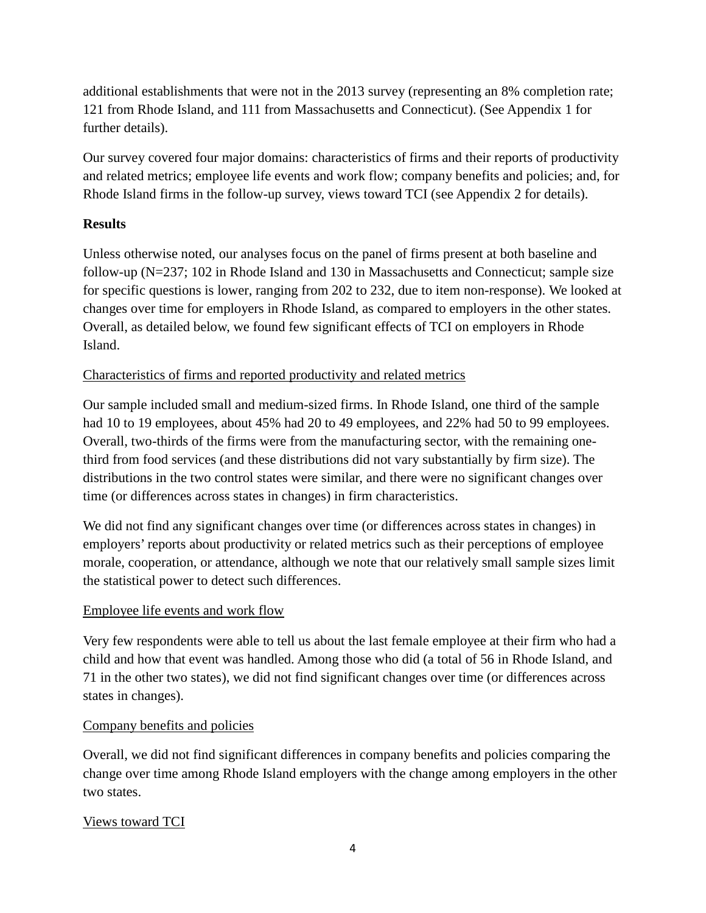additional establishments that were not in the 2013 survey (representing an 8% completion rate; 121 from Rhode Island, and 111 from Massachusetts and Connecticut). (See Appendix 1 for further details).

Our survey covered four major domains: characteristics of firms and their reports of productivity and related metrics; employee life events and work flow; company benefits and policies; and, for Rhode Island firms in the follow-up survey, views toward TCI (see Appendix 2 for details).

### **Results**

Unless otherwise noted, our analyses focus on the panel of firms present at both baseline and follow-up (N=237; 102 in Rhode Island and 130 in Massachusetts and Connecticut; sample size for specific questions is lower, ranging from 202 to 232, due to item non-response). We looked at changes over time for employers in Rhode Island, as compared to employers in the other states. Overall, as detailed below, we found few significant effects of TCI on employers in Rhode Island.

### Characteristics of firms and reported productivity and related metrics

Our sample included small and medium-sized firms. In Rhode Island, one third of the sample had 10 to 19 employees, about 45% had 20 to 49 employees, and 22% had 50 to 99 employees. Overall, two-thirds of the firms were from the manufacturing sector, with the remaining onethird from food services (and these distributions did not vary substantially by firm size). The distributions in the two control states were similar, and there were no significant changes over time (or differences across states in changes) in firm characteristics.

We did not find any significant changes over time (or differences across states in changes) in employers' reports about productivity or related metrics such as their perceptions of employee morale, cooperation, or attendance, although we note that our relatively small sample sizes limit the statistical power to detect such differences.

### Employee life events and work flow

Very few respondents were able to tell us about the last female employee at their firm who had a child and how that event was handled. Among those who did (a total of 56 in Rhode Island, and 71 in the other two states), we did not find significant changes over time (or differences across states in changes).

### Company benefits and policies

Overall, we did not find significant differences in company benefits and policies comparing the change over time among Rhode Island employers with the change among employers in the other two states.

### Views toward TCI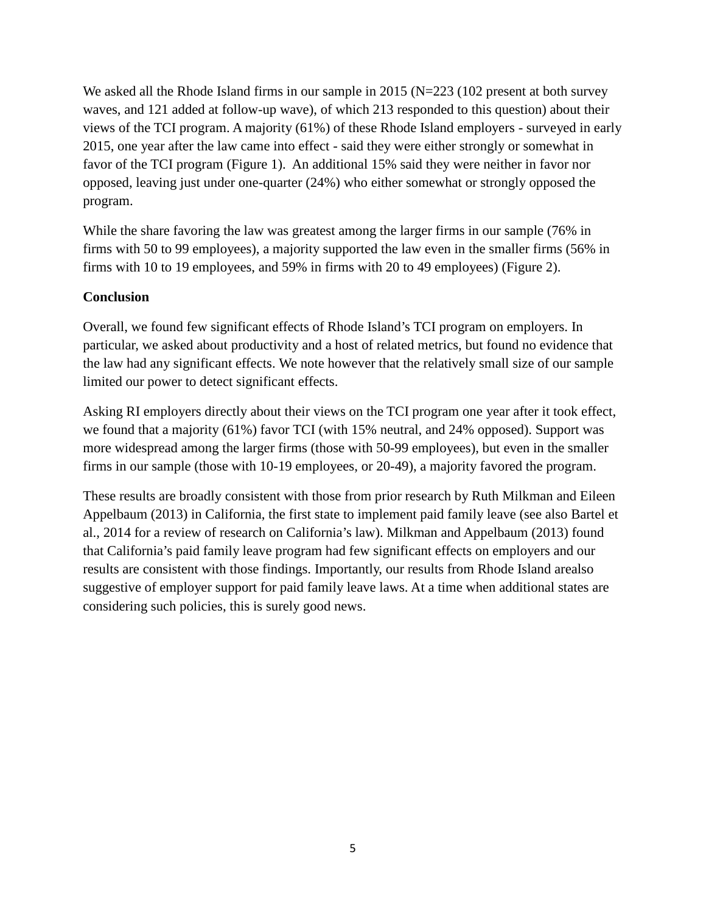We asked all the Rhode Island firms in our sample in 2015 ( $N=223$  (102 present at both survey waves, and 121 added at follow-up wave), of which 213 responded to this question) about their views of the TCI program. A majority (61%) of these Rhode Island employers - surveyed in early 2015, one year after the law came into effect - said they were either strongly or somewhat in favor of the TCI program (Figure 1). An additional 15% said they were neither in favor nor opposed, leaving just under one-quarter (24%) who either somewhat or strongly opposed the program.

While the share favoring the law was greatest among the larger firms in our sample (76% in firms with 50 to 99 employees), a majority supported the law even in the smaller firms (56% in firms with 10 to 19 employees, and 59% in firms with 20 to 49 employees) (Figure 2).

### **Conclusion**

Overall, we found few significant effects of Rhode Island's TCI program on employers. In particular, we asked about productivity and a host of related metrics, but found no evidence that the law had any significant effects. We note however that the relatively small size of our sample limited our power to detect significant effects.

Asking RI employers directly about their views on the TCI program one year after it took effect, we found that a majority (61%) favor TCI (with 15% neutral, and 24% opposed). Support was more widespread among the larger firms (those with 50-99 employees), but even in the smaller firms in our sample (those with 10-19 employees, or 20-49), a majority favored the program.

These results are broadly consistent with those from prior research by Ruth Milkman and Eileen Appelbaum (2013) in California, the first state to implement paid family leave (see also Bartel et al., 2014 for a review of research on California's law). Milkman and Appelbaum (2013) found that California's paid family leave program had few significant effects on employers and our results are consistent with those findings. Importantly, our results from Rhode Island arealso suggestive of employer support for paid family leave laws. At a time when additional states are considering such policies, this is surely good news.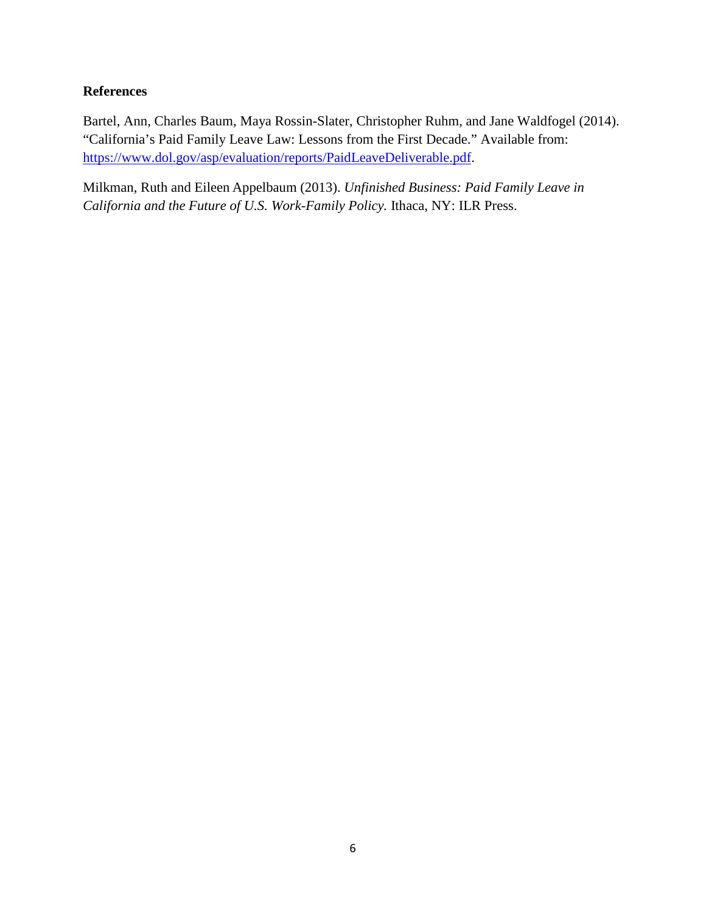## **References**

Bartel, Ann, Charles Baum, Maya Rossin-Slater, Christopher Ruhm, and Jane Waldfogel (2014). "California's Paid Family Leave Law: Lessons from the First Decade." Available from: [https://www.dol.gov/asp/evaluation/reports/PaidLeaveDeliverable.pdf.](https://www.dol.gov/asp/evaluation/reports/PaidLeaveDeliverable.pdf)

Milkman, Ruth and Eileen Appelbaum (2013). *Unfinished Business: Paid Family Leave in California and the Future of U.S. Work-Family Policy.* Ithaca, NY: ILR Press.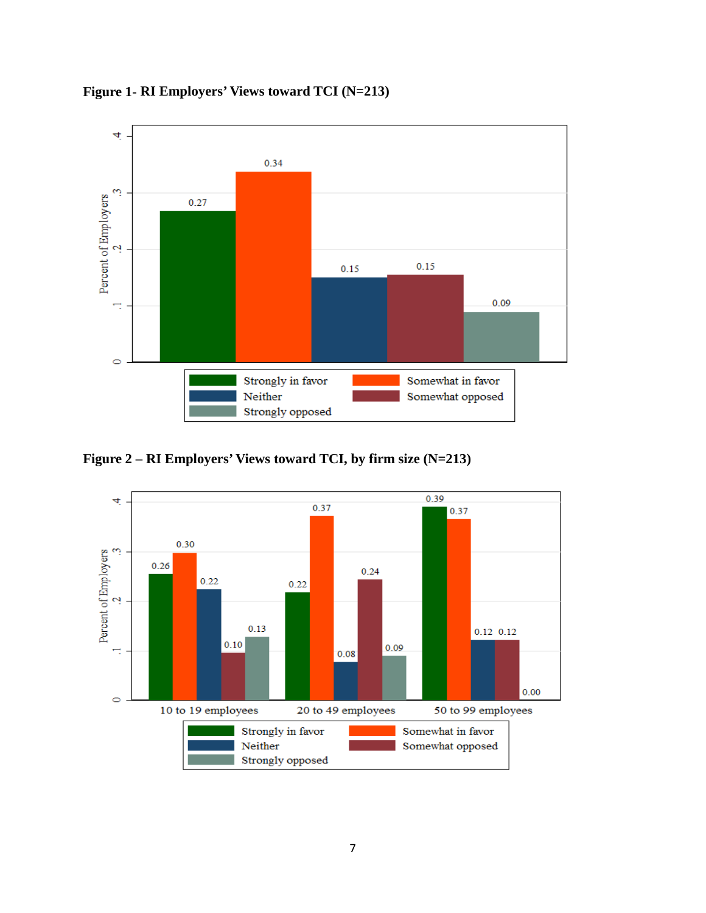

**Figure 1- RI Employers' Views toward TCI (N=213)**

**Figure 2 – RI Employers' Views toward TCI, by firm size (N=213)** 

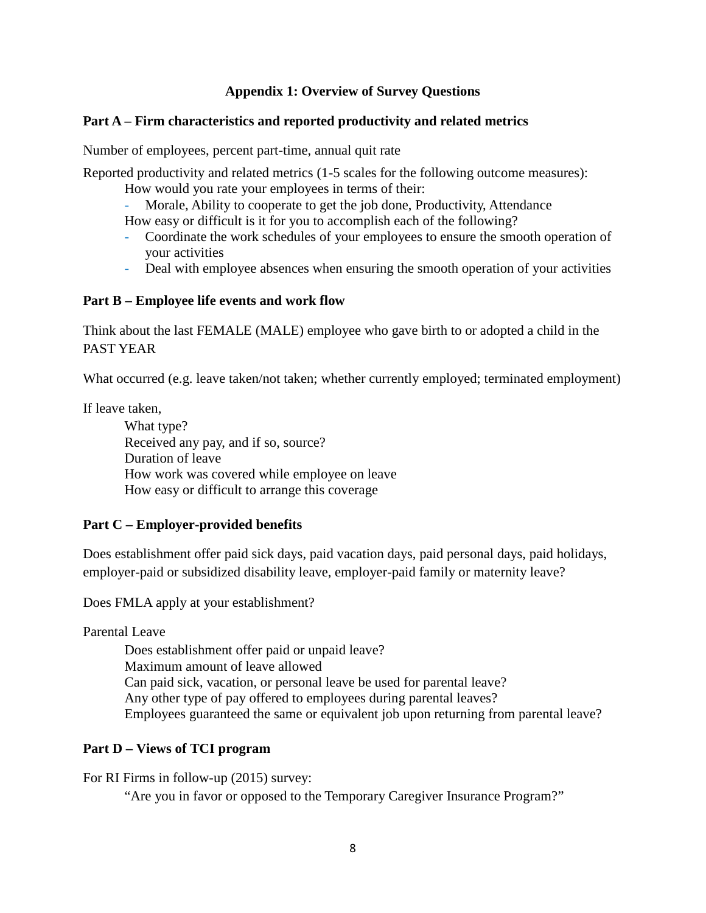### **Appendix 1: Overview of Survey Questions**

### **Part A – Firm characteristics and reported productivity and related metrics**

Number of employees, percent part-time, annual quit rate

Reported productivity and related metrics (1-5 scales for the following outcome measures):

How would you rate your employees in terms of their:

- Morale, Ability to cooperate to get the job done, Productivity, Attendance

How easy or difficult is it for you to accomplish each of the following?

- Coordinate the work schedules of your employees to ensure the smooth operation of your activities
- Deal with employee absences when ensuring the smooth operation of your activities

### **Part B – Employee life events and work flow**

Think about the last FEMALE (MALE) employee who gave birth to or adopted a child in the PAST YEAR

What occurred (e.g. leave taken/not taken; whether currently employed; terminated employment)

If leave taken,

What type? Received any pay, and if so, source? Duration of leave How work was covered while employee on leave How easy or difficult to arrange this coverage

### **Part C – Employer-provided benefits**

Does establishment offer paid sick days, paid vacation days, paid personal days, paid holidays, employer-paid or subsidized disability leave, employer-paid family or maternity leave?

Does FMLA apply at your establishment?

Parental Leave

Does establishment offer paid or unpaid leave? Maximum amount of leave allowed Can paid sick, vacation, or personal leave be used for parental leave? Any other type of pay offered to employees during parental leaves? Employees guaranteed the same or equivalent job upon returning from parental leave?

### **Part D – Views of TCI program**

For RI Firms in follow-up (2015) survey:

"Are you in favor or opposed to the Temporary Caregiver Insurance Program?"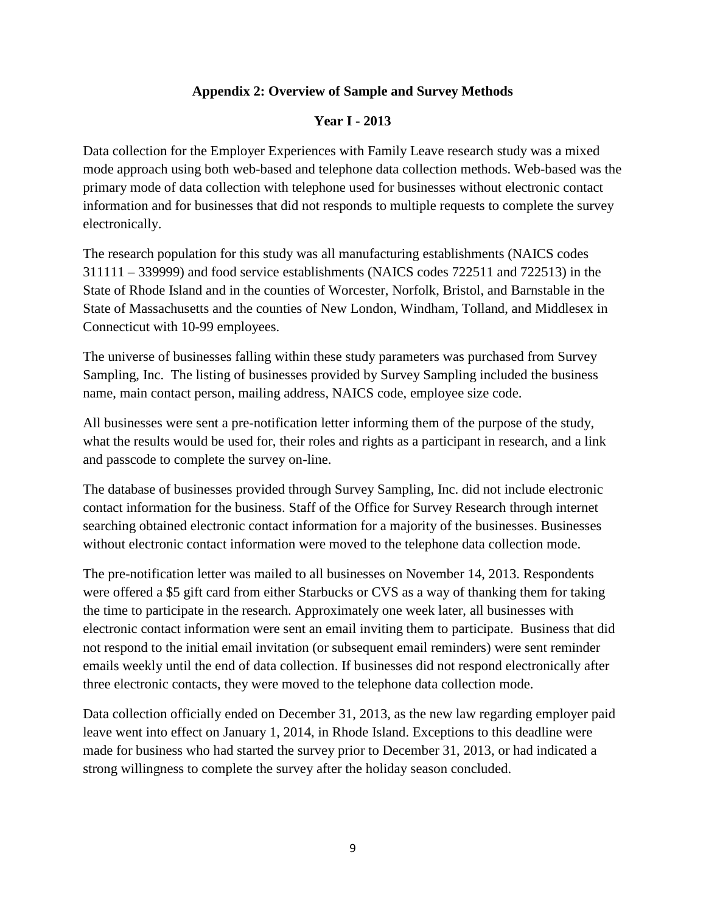### **Appendix 2: Overview of Sample and Survey Methods**

### **Year I - 2013**

Data collection for the Employer Experiences with Family Leave research study was a mixed mode approach using both web-based and telephone data collection methods. Web-based was the primary mode of data collection with telephone used for businesses without electronic contact information and for businesses that did not responds to multiple requests to complete the survey electronically.

The research population for this study was all manufacturing establishments (NAICS codes 311111 – 339999) and food service establishments (NAICS codes 722511 and 722513) in the State of Rhode Island and in the counties of Worcester, Norfolk, Bristol, and Barnstable in the State of Massachusetts and the counties of New London, Windham, Tolland, and Middlesex in Connecticut with 10-99 employees.

The universe of businesses falling within these study parameters was purchased from Survey Sampling, Inc. The listing of businesses provided by Survey Sampling included the business name, main contact person, mailing address, NAICS code, employee size code.

All businesses were sent a pre-notification letter informing them of the purpose of the study, what the results would be used for, their roles and rights as a participant in research, and a link and passcode to complete the survey on-line.

The database of businesses provided through Survey Sampling, Inc. did not include electronic contact information for the business. Staff of the Office for Survey Research through internet searching obtained electronic contact information for a majority of the businesses. Businesses without electronic contact information were moved to the telephone data collection mode.

The pre-notification letter was mailed to all businesses on November 14, 2013. Respondents were offered a \$5 gift card from either Starbucks or CVS as a way of thanking them for taking the time to participate in the research. Approximately one week later, all businesses with electronic contact information were sent an email inviting them to participate. Business that did not respond to the initial email invitation (or subsequent email reminders) were sent reminder emails weekly until the end of data collection. If businesses did not respond electronically after three electronic contacts, they were moved to the telephone data collection mode.

Data collection officially ended on December 31, 2013, as the new law regarding employer paid leave went into effect on January 1, 2014, in Rhode Island. Exceptions to this deadline were made for business who had started the survey prior to December 31, 2013, or had indicated a strong willingness to complete the survey after the holiday season concluded.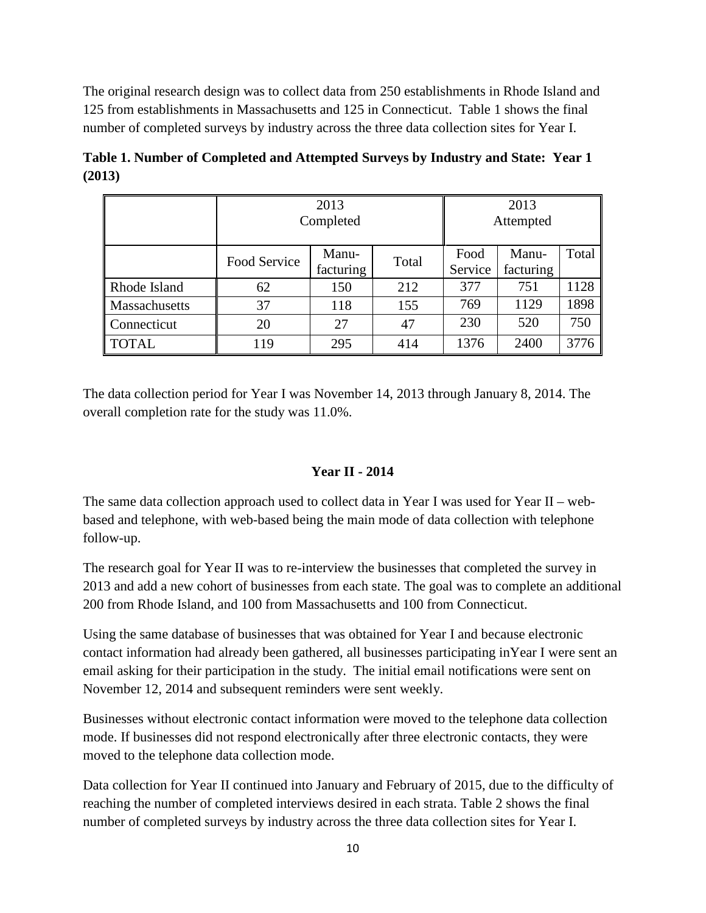The original research design was to collect data from 250 establishments in Rhode Island and 125 from establishments in Massachusetts and 125 in Connecticut. Table 1 shows the final number of completed surveys by industry across the three data collection sites for Year I.

|                      | Completed    | 2013<br>Attempted  |       |                 |                    |       |
|----------------------|--------------|--------------------|-------|-----------------|--------------------|-------|
|                      | Food Service | Manu-<br>facturing | Total | Food<br>Service | Manu-<br>facturing | Total |
| Rhode Island         | 62           | 150                | 212   | 377             | 751                | 1128  |
| <b>Massachusetts</b> | 37           | 118                | 155   | 769             | 1129               | 1898  |
| Connecticut          | 20           | 27                 | 47    | 230             | 520                | 750   |
| TOTAL                | 119          | 295                | 414   | 1376            | 2400               | 3776  |

**Table 1. Number of Completed and Attempted Surveys by Industry and State: Year 1 (2013)** 

The data collection period for Year I was November 14, 2013 through January 8, 2014. The overall completion rate for the study was 11.0%.

### **Year II - 2014**

The same data collection approach used to collect data in Year I was used for Year II – webbased and telephone, with web-based being the main mode of data collection with telephone follow-up.

The research goal for Year II was to re-interview the businesses that completed the survey in 2013 and add a new cohort of businesses from each state. The goal was to complete an additional 200 from Rhode Island, and 100 from Massachusetts and 100 from Connecticut.

Using the same database of businesses that was obtained for Year I and because electronic contact information had already been gathered, all businesses participating inYear I were sent an email asking for their participation in the study. The initial email notifications were sent on November 12, 2014 and subsequent reminders were sent weekly.

Businesses without electronic contact information were moved to the telephone data collection mode. If businesses did not respond electronically after three electronic contacts, they were moved to the telephone data collection mode.

Data collection for Year II continued into January and February of 2015, due to the difficulty of reaching the number of completed interviews desired in each strata. Table 2 shows the final number of completed surveys by industry across the three data collection sites for Year I.